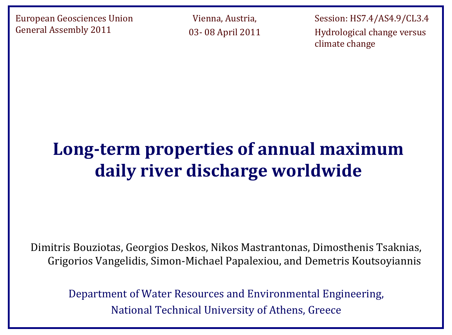European Geosciences Union General Assembly 2011

Vienna, Austria, 03- 08 April 2011

Session: HS7.4/AS4.9/CL3.4 Hydrological change versus climate change

# **Long-term properties of annual maximum daily river discharge worldwide**

Dimitris Bouziotas, Georgios Deskos, Nikos Mastrantonas, Dimosthenis Tsaknias, Grigorios Vangelidis, Simon-Michael Papalexiou, and Demetris Koutsoyiannis

Department of Water Resources and Environmental Engineering, National Technical University of Athens, Greece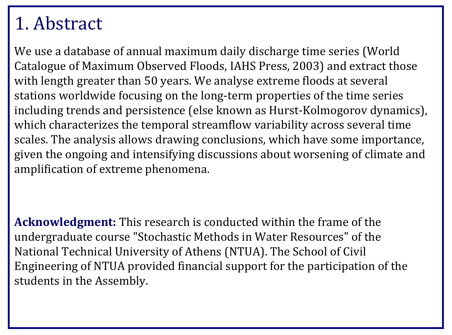#### 1. Abstract

We use a database of annual maximum daily discharge time series (World Catalogue of Maximum Observed Floods, IAHS Press, 2003) and extract those with length greater than 50 years. We analyse extreme floods at several stations worldwide focusing on the long-term properties of the time series including trends and persistence (else known as Hurst-Kolmogorov dynamics), which characterizes the temporal streamflow variability across several time scales. The analysis allows drawing conclusions, which have some importance, given the ongoing and intensifying discussions about worsening of climate and amplification of extreme phenomena.

**Acknowledgment:** This research is conducted within the frame of the undergraduate course "Stochastic Methods in Water Resources" of the National Technical University of Athens (NTUA). The School of Civil Engineering of NTUA provided financial support for the participation of the students in the Assembly.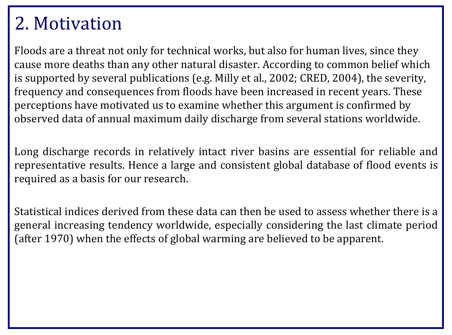#### 2. Motivation

Floods are a threat not only for technical works, but also for human lives, since they cause more deaths than any other natural disaster. According to common belief which is supported by several publications (e.g. Milly et al., 2002; CRED, 2004), the severity, frequency and consequences from floods have been increased in recent years. These perceptions have motivated us to examine whether this argument is confirmed by observed data of annual maximum daily discharge from several stations worldwide.

Long discharge records in relatively intact river basins are essential for reliable and representative results. Hence a large and consistent global database of flood events is required as a basis for our research.

Statistical indices derived from these data can then be used to assess whether there is a general increasing tendency worldwide, especially considering the last climate period (after 1970) when the effects of global warming are believed to be apparent.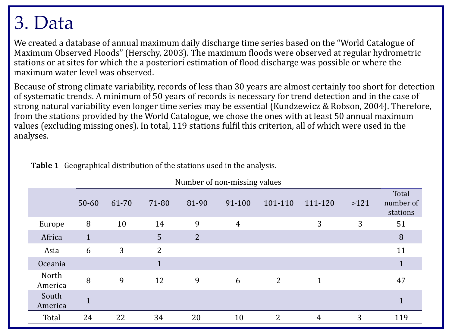# 3. Data

We created a database of annual maximum daily discharge time series based on the "World Catalogue of Maximum Observed Floods" (Herschy, 2003). The maximum floods were observed at regular hydrometric stations or at sites for which the a posteriori estimation of flood discharge was possible or where the maximum water level was observed.

Because of strong climate variability, records of less than 30 years are almost certainly too short for detection of systematic trends. A minimum of 50 years of records is necessary for trend detection and in the case of strong natural variability even longer time series may be essential (Kundzewicz & Robson, 2004). Therefore, from the stations provided by the World Catalogue, we chose the ones with at least 50 annual maximum values (excluding missing ones). In total, 119 stations fulfil this criterion, all of which were used in the analyses.

|                  | Number of non-missing values |                |                |                |                |                |              |      |                                |  |
|------------------|------------------------------|----------------|----------------|----------------|----------------|----------------|--------------|------|--------------------------------|--|
|                  | $50 - 60$                    | 61-70          | 71-80          | 81-90          | 91-100         | 101-110        | 111-120      | >121 | Total<br>number of<br>stations |  |
| Europe           | 8                            | 10             | 14             | 9              | $\overline{4}$ |                | 3            | 3    | 51                             |  |
| Africa           | $\mathbf{1}$                 |                | 5              | $\overline{2}$ |                |                |              |      | 8                              |  |
| Asia             | 6                            | $\overline{3}$ | $\overline{2}$ |                |                |                |              |      | 11                             |  |
| Oceania          |                              |                |                |                |                |                |              |      | $\mathbf 1$                    |  |
| North<br>America | 8                            | 9              | 12             | 9              | 6              | $\overline{2}$ | $\mathbf{1}$ |      | 47                             |  |
| South<br>America | $\mathbf{1}$                 |                |                |                |                |                |              |      | $\mathbf 1$                    |  |
| Total            | 24                           | 22             | 34             | 20             | 10             | $\overline{2}$ | 4            | 3    | 119                            |  |

**Table 1** Geographical distribution of the stations used in the analysis.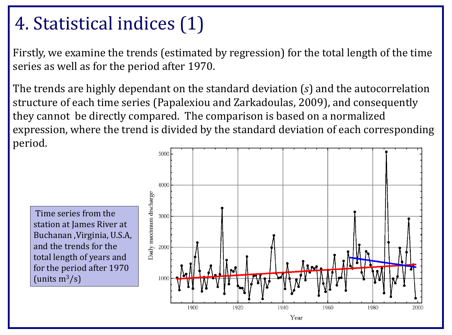# 4. Statistical indices (1)

Firstly, we examine the trends (estimated by regression) for the total length of the time series as well as for the period after 1970.

The trends are highly dependant on the standard deviation (*s*) and the autocorrelation structure of each time series (Papalexiou and Zarkadoulas, 2009), and consequently they cannot be directly compared. The comparison is based on a normalized expression, where the trend is divided by the standard deviation of each corresponding period.

Time series from the station at James River at Buchanan ,Virginia, U.S.A, and the trends for the total length of years and for the period after 1970 (units  $m^3/s$ )

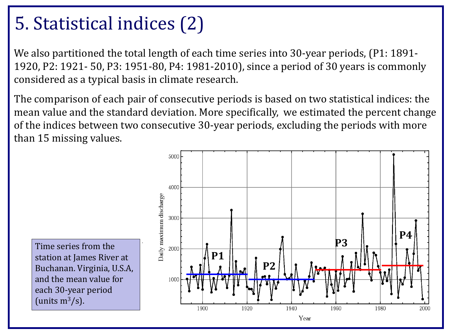# 5. Statistical indices (2)

We also partitioned the total length of each time series into 30-year periods, (P1: 1891-1920, P2: 1921- 50, P3: 1951-80, P4: 1981-2010), since a period of 30 years is commonly considered as a typical basis in climate research.

The comparison of each pair of consecutive periods is based on two statistical indices: the mean value and the standard deviation. More specifically, we estimated the percent change of the indices between two consecutive 30-year periods, excluding the periods with more than 15 missing values.

Time series from the station at James River at Buchanan. Virginia, U.S.A, and the mean value for each 30-year period (units  $m^3/s$ ).

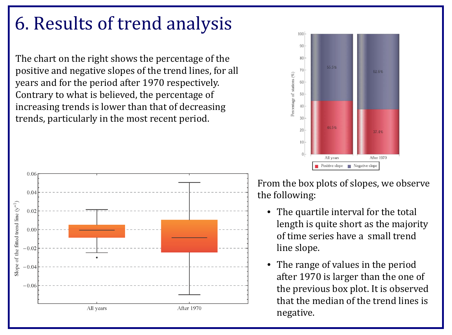#### 6. Results of trend analysis

The chart on the right shows the percentage of the positive and negative slopes of the trend lines, for all years and for the period after 1970 respectively. Contrary to what is believed, the percentage of increasing trends is lower than that of decreasing trends, particularly in the most recent period.





From the box plots of slopes, we observe the following:

- The quartile interval for the total length is quite short as the majority of time series have a small trend line slope.
- The range of values in the period after 1970 is larger than the one of the previous box plot. It is observed that the median of the trend lines is negative.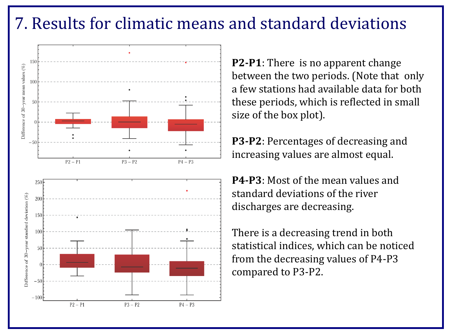#### 7. Results for climatic means and standard deviations



**P2-P1**: There is no apparent change between the two periods. (Note that only a few stations had available data for both these periods, which is reflected in small size of the box plot).

**P3-P2**: Percentages of decreasing and increasing values are almost equal.

**P4-P3**: Most of the mean values and standard deviations of the river discharges are decreasing.

There is a decreasing trend in both statistical indices, which can be noticed from the decreasing values of P4-P3 compared to P3-P2.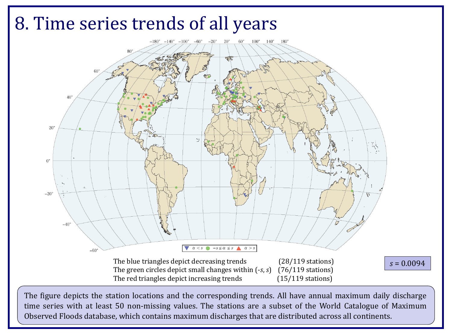![](_page_8_Figure_0.jpeg)

The figure depicts the station locations and the corresponding trends. All have annual maximum daily discharge time series with at least 50 non-missing values. The stations are a subset of the World Catalogue of Maximum Observed Floods database, which contains maximum discharges that are distributed across all continents.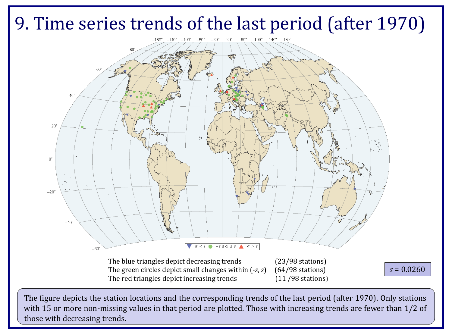# 9. Time series trends of the last period (after 1970)

![](_page_9_Figure_1.jpeg)

The figure depicts the station locations and the corresponding trends of the last period (after 1970). Only stations with 15 or more non-missing values in that period are plotted. Those with increasing trends are fewer than 1/2 of those with decreasing trends.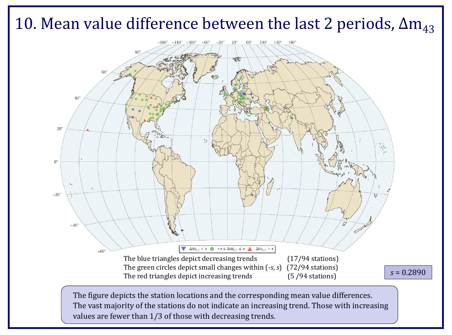![](_page_10_Figure_0.jpeg)

values are fewer than 1/3 of those with decreasing trends.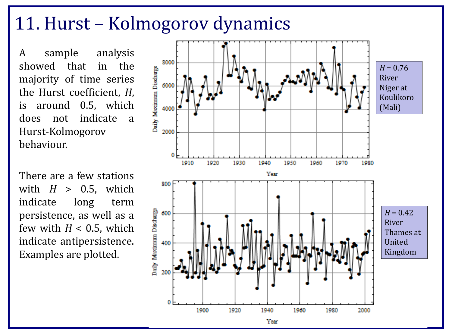#### 11. Hurst – Kolmogorov dynamics

A sample analysis<br>showed that in the showed that majority of time series the Hurst coefficient, *H*, is around 0.5, which does not indicate a Hurst-Kolmogorov behaviour.

There are a few stations with  $H > 0.5$ , which indicate long term indicate long term persistence, as well as a few with  $H < 0.5$ , which indicate antipersistence. Examples are plotted.

![](_page_11_Figure_3.jpeg)